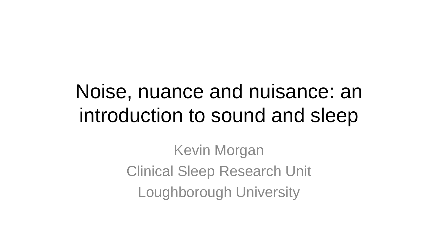# Noise, nuance and nuisance: an introduction to sound and sleep

Kevin Morgan Clinical Sleep Research Unit Loughborough University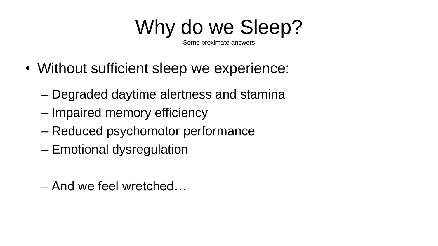# Why do we Sleep?

Some proximate answers

- Without sufficient sleep we experience:
	- Degraded daytime alertness and stamina
	- Impaired memory efficiency
	- Reduced psychomotor performance
	- Emotional dysregulation
	- And we feel wretched…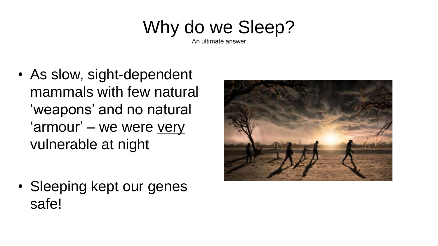### Why do we Sleep?

An ultimate answer

- As slow, sight-dependent mammals with few natural 'weapons' and no natural 'armour' – we were very vulnerable at night
- Sleeping kept our genes safe!

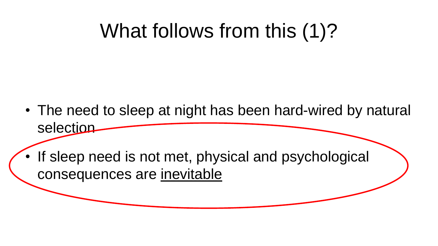# What follows from this (1)?

- The need to sleep at night has been hard-wired by natural selection
- If sleep need is not met, physical and psychological consequences are inevitable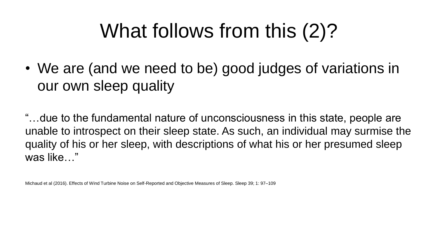# What follows from this (2)?

• We are (and we need to be) good judges of variations in our own sleep quality

"…due to the fundamental nature of unconsciousness in this state, people are unable to introspect on their sleep state. As such, an individual may surmise the quality of his or her sleep, with descriptions of what his or her presumed sleep was like…"

Michaud et al (2016). Effects of Wind Turbine Noise on Self-Reported and Objective Measures of Sleep. Sleep 39; 1: 97–109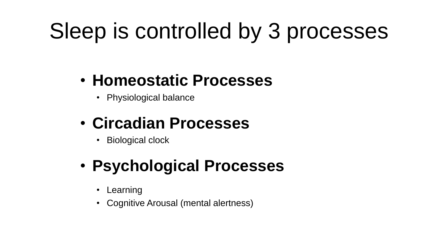# Sleep is controlled by 3 processes

#### • **Homeostatic Processes**

• Physiological balance

#### • **Circadian Processes**

• Biological clock

#### • **Psychological Processes**

- Learning
- Cognitive Arousal (mental alertness)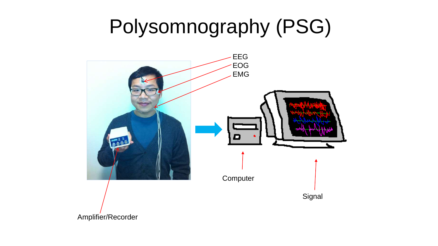# Polysomnography (PSG)

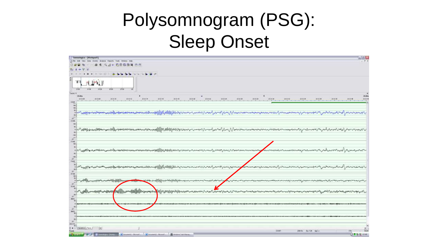### Polysomnogram (PSG): Sleep Onset

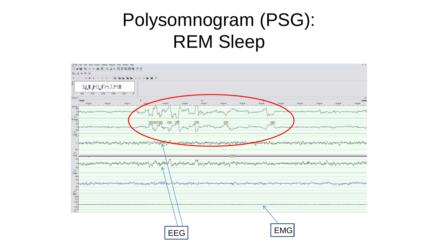## Polysomnogram (PSG): REM Sleep

| Dies Events Analysis Reports                                                                                    | $-0.95$                                                                                                                                                                                                                                                                                                                                                             |
|-----------------------------------------------------------------------------------------------------------------|---------------------------------------------------------------------------------------------------------------------------------------------------------------------------------------------------------------------------------------------------------------------------------------------------------------------------------------------------------------------|
| 044                                                                                                             |                                                                                                                                                                                                                                                                                                                                                                     |
| 白149日                                                                                                           |                                                                                                                                                                                                                                                                                                                                                                     |
| - 「 名 第 所<br>$M$   $(m + )$ $\Box$<br>25                                                                        |                                                                                                                                                                                                                                                                                                                                                                     |
| Ē<br><b>ՆԱՄ ԻԿ ՄԻ ՄԻՍ</b>                                                                                       |                                                                                                                                                                                                                                                                                                                                                                     |
| 2114<br><b>WW</b>                                                                                               |                                                                                                                                                                                                                                                                                                                                                                     |
| 10.00<br>Tiscas *                                                                                               |                                                                                                                                                                                                                                                                                                                                                                     |
| 18.694<br>$\frac{1}{4}$<br>利用剂<br>31 86 18                                                                      | 111836                                                                                                                                                                                                                                                                                                                                                              |
| <b>COO NT</b>                                                                                                   |                                                                                                                                                                                                                                                                                                                                                                     |
|                                                                                                                 |                                                                                                                                                                                                                                                                                                                                                                     |
| W.<br>BERT FIAM                                                                                                 |                                                                                                                                                                                                                                                                                                                                                                     |
|                                                                                                                 |                                                                                                                                                                                                                                                                                                                                                                     |
|                                                                                                                 |                                                                                                                                                                                                                                                                                                                                                                     |
| $\frac{W}{1248}$                                                                                                |                                                                                                                                                                                                                                                                                                                                                                     |
|                                                                                                                 |                                                                                                                                                                                                                                                                                                                                                                     |
| the second of the property of the second paper of the paper of the political paper                              | ے کا اعلام الاکام کے مطابق اس کے اس کے اس کے اس کے اس کے اس کے مطابق اس کے مطابق اس کے دوران کے اس کے اس کے اس<br>مطابق اس کے اس کے اس کے اس کے اس کے اس کے اس کے اس کے بعد اس کے اس کے اس کے اس کے اس کے اس کے اس کے اس کے اس ک<br>مناصي والمباري المهاليس السداسي كالمستمر المال كالمحاضر المستمالين المسالي المعالي المستغير المستعدد المعالي المتعالي المستعجبة |
|                                                                                                                 |                                                                                                                                                                                                                                                                                                                                                                     |
| 1146                                                                                                            |                                                                                                                                                                                                                                                                                                                                                                     |
|                                                                                                                 |                                                                                                                                                                                                                                                                                                                                                                     |
|                                                                                                                 | in provincing man part and man part part of the company part of man provincing man man man part and man part and man man                                                                                                                                                                                                                                            |
| 寒<br><b>STAR</b>                                                                                                |                                                                                                                                                                                                                                                                                                                                                                     |
|                                                                                                                 |                                                                                                                                                                                                                                                                                                                                                                     |
| the photograph of the system of the contract of the contract party of the photograph of the photograph of the s | (إيداني بمورم بريدي بدار بدور بدور المورديدي بالبريدي المورد المورد المورد المورد المورد المورد الموردي الموردي بالموردي بالموردي بالموردي بالموردي بالموردي بالموردي الموردي الموردي الموردي الموردي الموردي الموردي المورد                                                                                                                                        |
|                                                                                                                 |                                                                                                                                                                                                                                                                                                                                                                     |
| $\frac{\sqrt{2}}{2}$                                                                                            |                                                                                                                                                                                                                                                                                                                                                                     |
| $rac{18}{18}$                                                                                                   |                                                                                                                                                                                                                                                                                                                                                                     |
|                                                                                                                 |                                                                                                                                                                                                                                                                                                                                                                     |
| 3281<br>$\omega$                                                                                                |                                                                                                                                                                                                                                                                                                                                                                     |
|                                                                                                                 |                                                                                                                                                                                                                                                                                                                                                                     |
|                                                                                                                 |                                                                                                                                                                                                                                                                                                                                                                     |
|                                                                                                                 |                                                                                                                                                                                                                                                                                                                                                                     |
|                                                                                                                 |                                                                                                                                                                                                                                                                                                                                                                     |
| EEG                                                                                                             |                                                                                                                                                                                                                                                                                                                                                                     |
|                                                                                                                 |                                                                                                                                                                                                                                                                                                                                                                     |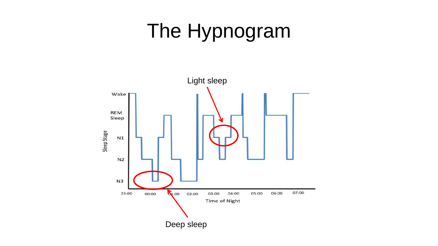# The Hypnogram

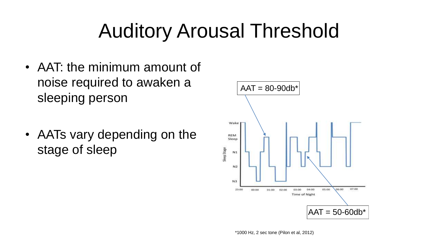# Auditory Arousal Threshold

- AAT: the minimum amount of noise required to awaken a sleeping person
- AATs vary depending on the stage of sleep

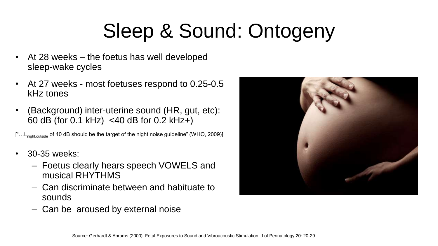# Sleep & Sound: Ontogeny

- At 28 weeks the foetus has well developed sleep-wake cycles
- At 27 weeks most foetuses respond to 0.25-0.5 kHz tones
- (Background) inter-uterine sound (HR, gut, etc): 60 dB (for 0.1 kHz) <40 dB for 0.2 kHz+)

["...L<sub>night,outside</sub> of 40 dB should be the target of the night noise guideline" (WHO, 2009)]

- 30-35 weeks:
	- Foetus clearly hears speech VOWELS and musical RHYTHMS
	- Can discriminate between and habituate to sounds
	- Can be aroused by external noise

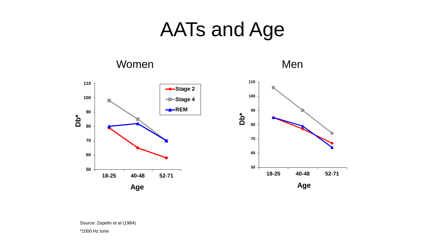## AATs and Age

#### Women Men



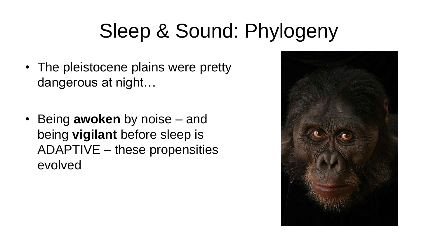# Sleep & Sound: Phylogeny

- The pleistocene plains were pretty dangerous at night…
- Being **awoken** by noise and being **vigilant** before sleep is ADAPTIVE – these propensities evolved

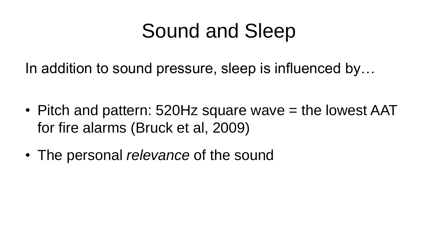# Sound and Sleep

In addition to sound pressure, sleep is influenced by…

- Pitch and pattern: 520Hz square wave = the lowest AAT for fire alarms (Bruck et al, 2009)
- The personal *relevance* of the sound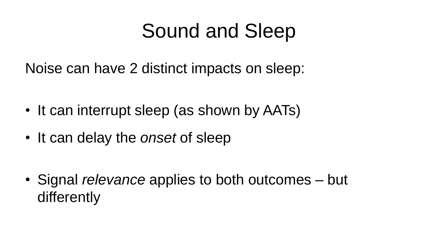# Sound and Sleep

Noise can have 2 distinct impacts on sleep:

- It can interrupt sleep (as shown by AATs)
- It can delay the *onset* of sleep

• Signal *relevance* applies to both outcomes – but differently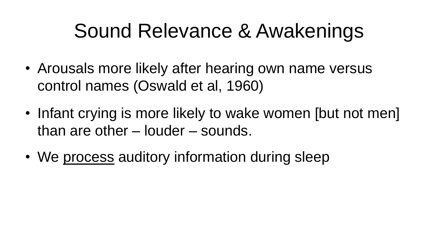# Sound Relevance & Awakenings

- Arousals more likely after hearing own name versus control names (Oswald et al, 1960)
- Infant crying is more likely to wake women [but not men] than are other – louder – sounds.
- We process auditory information during sleep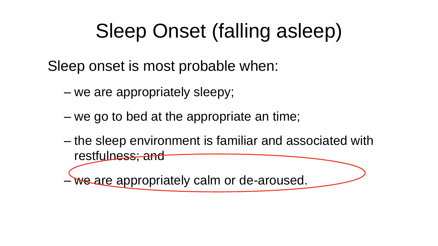# Sleep Onset (falling asleep)

Sleep onset is most probable when:

- we are appropriately sleepy;
- we go to bed at the appropriate an time;
- the sleep environment is familiar and associated with restfulness; and

we are appropriately calm or de-aroused.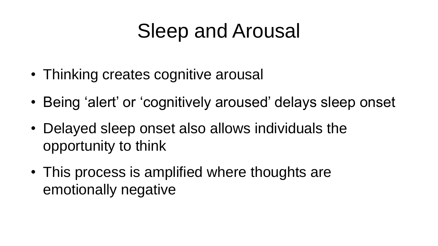# Sleep and Arousal

- Thinking creates cognitive arousal
- Being 'alert' or 'cognitively aroused' delays sleep onset
- Delayed sleep onset also allows individuals the opportunity to think
- This process is amplified where thoughts are emotionally negative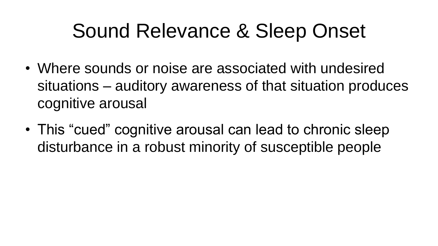# Sound Relevance & Sleep Onset

- Where sounds or noise are associated with undesired situations – auditory awareness of that situation produces cognitive arousal
- This "cued" cognitive arousal can lead to chronic sleep disturbance in a robust minority of susceptible people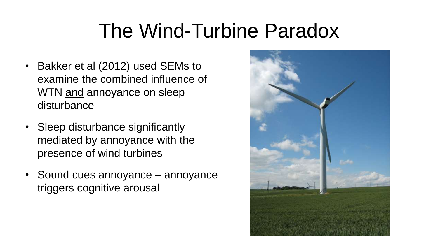# The Wind-Turbine Paradox

- Bakker et al (2012) used SEMs to examine the combined influence of WTN and annoyance on sleep disturbance
- Sleep disturbance significantly mediated by annoyance with the presence of wind turbines
- Sound cues annoyance annoyance triggers cognitive arousal